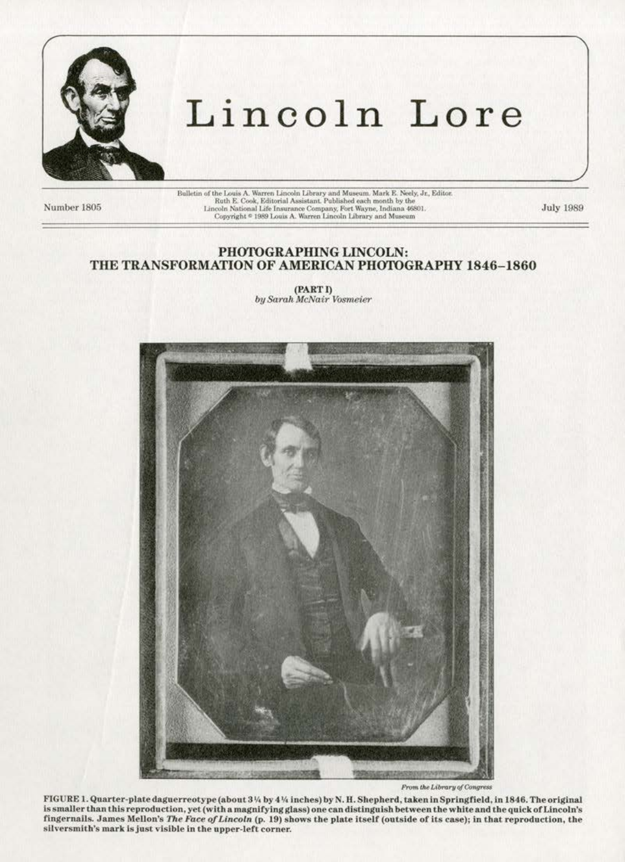

# Lincoln Lore

Number 1805

 $\label{thm:main}$  Bulletin of the Louis A. Warren Lincoln Library and Museum. Mark E. Neely, Jr., Editor. Ruth E. Cook, Editorial Assistant. Published each month by the Lincoln National Life Insurance Company, Fort Wayne, Indian

**July 1989** 

### PHOTOGRAPHING LINCOLN: THE TRANSFORMATION OF AMERICAN PHOTOGRAPHY 1846-1860

(PART I) by Sarah McNair Vosmeier



From the Library of Congress

FIGURE 1. Quarter-plate daguerreotype (about 3 1/4 by 4 1/4 inches) by N. H. Shepherd, taken in Springfield, in 1846. The original is smaller than this reproduction, yet (with a magnifying glass) one can distinguish between the white and the quick of Lincoln's fingernails. James Mellon's The Face of Lincoln (p. 19) shows the plate itself (outside of its case); in that reproduction, the silversmith's mark is just visible in the upper-left corner.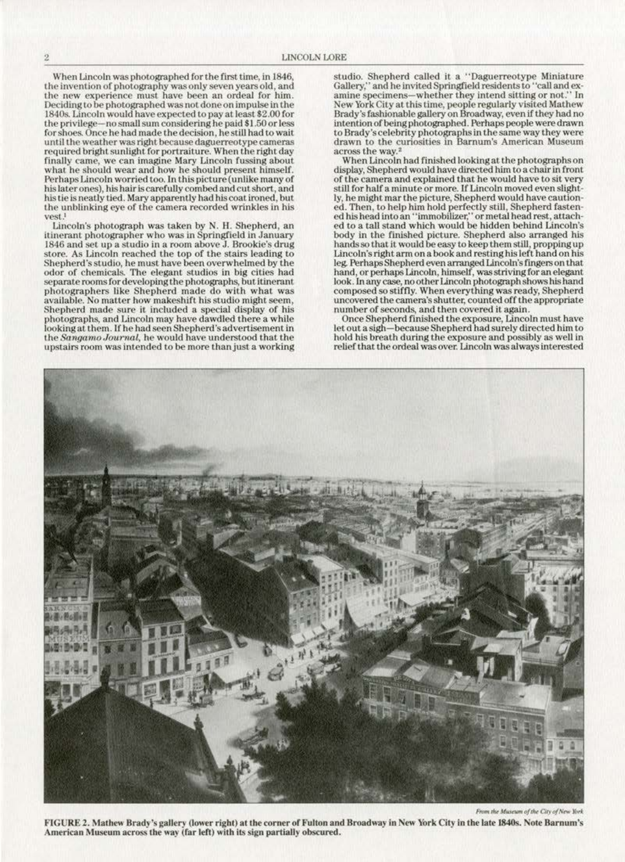When Lincoln was photographed for the first time, in 1846, the invention of photography was only seven years old, and **the new experience must have been an ordeal for him.**  Deciding to be photographed was not done on impulse in the 1840s. Lincoln would have expected to pay at least\$2.00 for the privilege-no small sum considering he paid \$1.50 or less for shoes. Once he had made the decision, he still had to wait **until the \\'Cather was right because daguerreotype cameras**  required bright sunlight for portraiture. When the right day **l'inally came, we can imagine Mary Lincoln fussing about what he should wear and how he should present himself.**  Perhaps Lincoln worried too. In this picture (unlike many of **his later ones), his hair is carefully combed and cut short, and**  his tie is neatly tied. Mary apparently had his coat ironed, but the unblinking eye of the camera recorded wrinkles in his **vest,l** 

Lincoln's photograph was taken by N. H. Shepherd, an **itinerant photographer who was in Springfield in January**  1846 and set up a studio in a room above J. Brookie's drug **store. As Lincoln reached the top of the stairs leading to**  Shepherd's studio, he must have been overwhelmed by the odor of chemicals. The elegant studios in big cities had separate rooms for developing the photographs, but itinerant photographers like Shepherd made do with what was **available. No matter how makeshift. his studlo might seem,**  Shepherd made sure it included a special display of his photographs, and Lincoln may have dawdled there a while looking at them. If he had seen Shepherd's advertisement in **<sup>1</sup>he SangarnoJourn.al, he would have understood that the**  upstairs room was intended to be more than just a working

studio. Shepherd called it a "Daguerreotype Miniature Gallery," and he invited Springfield residents to "call and examine specimens-whether they intend sitting or not." In New York City at this time, people regularly visited Mathew Brady's fashionable gallery on Broadway, even If they had no intention of being photographed. Perhaps people were drawn to Brady's celebrity photographs in the same way they were drawn to the curiosities in Barnum's American Museum across the way.<sup>2</sup>

When Lincoln had finished looking at the photographs on display, Shepherd would have directed him to a chair in front of the camera and explained that he would have to sit very<br>still for half a minute or more. If Lincoln moved even slight-<br>ly, he might mar the picture, Shepherd would have caution-<br>ed. Then, to help him hold perfectly stil ed. Then, to help him hold perfectly still, Shepherd fastened his head into an "immobilizer," or metal head rest, attached to a tall stand which would be hidden behind Lincoln's body in the finished picture. Shepherd also arranged his hands so that it would be easy to keep them still, propping up Lincoln's right arm on a book and resting his left hand on his leg. Perhaps Shepherd even arranged Lincoln's fingers on that hand, or perhaps Lincoln, himself, was striving for an elegant look.ln any case, no other Lincoln photograph shows his hand composed *so* stifny. When everything was ready, Shepherd uncovered the camera's shutter, counted off the appropriate **number or seconds. and then covered it again.** 

**Once Shepherd finished the exposure, Lincoln must have**  let out a sigh-beeause Shepherd had surely directed him to hold his breath during the exposure and possibly as well in relief that the ordeal was over. Lincoln was always interested



**FIGURE 2. Mathew Brady's gallery (lo·wtr right) at the- rorner of Fulton and Broadway in New York City in the late 1840s. Note Barnum's**  American Museum across the way (far left) with its sign partially obscured.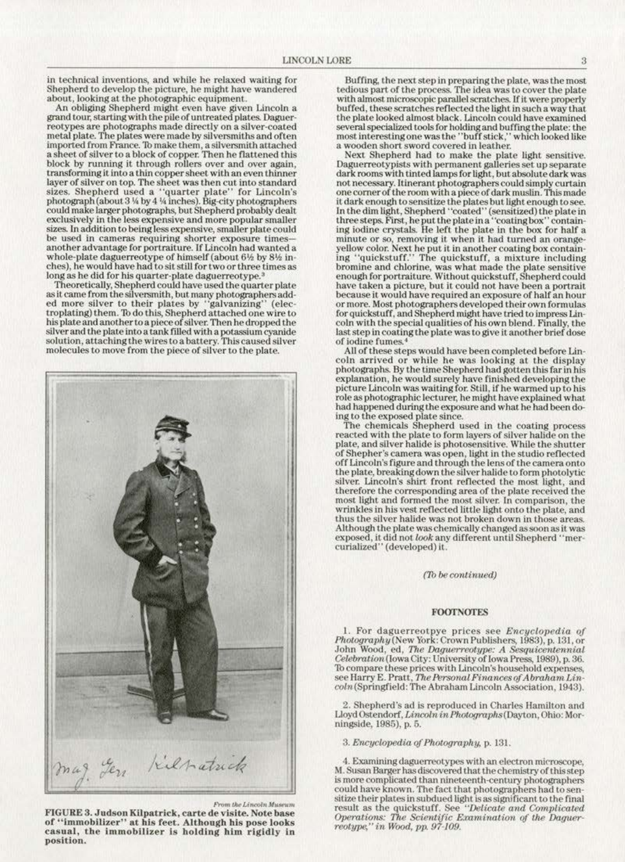**in technical inventions, and while he relaxed waiting for**  Shepherd to develop the picture, he might have wandered about, looking at the photographic equipment.

An obliging Shepherd might even have given Lincoln a grand tour, starting with the pile of untreated plates. Daguerreotypes are photographs made directly on a silver-coated metal plate. The plates were made by silversmiths and often imported from France. To make them, a silversmith attached a sheet of silver to a block of copper. Then he flattened this **block by running lt through rollers over and over again, transforming it into a thin copper sheet. with an even thinner layer of silver on top. The sheet was then cut into standard**  sizes. Shepherd used a "quarter plate" for Lincoln's photograph (about 3  $\%$  by 4  $\%$  inches). Big-city photographers could make larger photographs, but Shepherd probably dealt **exclusively in the less expensive and more popular smaller sizes. In addition to being less expensive, smaller plate could**  be used in cameras requiring shorter exposure times another advantage for portraiture. If Lincoln had wanted a whole-plate daguerreotype of himself (about 6½ by 8½ in-<br>ches), he would have had to sit still for two or three times as long as he did for his quarter-plate daguerreotype.<sup>4</sup>

Theoretically, Shepherd could have used the quarter plate as it came from the silversmith, but many photographers added more silver to their plates by "galvanizing" (elec troplating) them. 10 do this, Shepherd attached one wire to his plate and another to a piece of silver. Then he dropped the silver and the plate into a tank filled with a potassium cyanide **solution, attaching Lhe wires to a battery. This caused silver**  solution, attaching the wires to a battery. This caused silver<br>molecules to move from the piece of silver to the plate.



*f*Yom the Lincoln Museum

FIGURE 3. Judson Kilpatrick, carte de visite. Note base of "immobilizer" at his feet. Although his pose looks **casual, the immobilizer is holding him rigidly in position.** 

Buffing, the next step in preparing the plate, was the most tedious part of the process. The idea was to cover the plate with almost microscopic parallel scratches. If it were properly buffed, these scratches reflected the light in such a way that the plate looked almost black. Lincoln could have examined several specialized tools for holding and buffing the plate: the **most interesting one was the ''buff stick," which looked like a wooden short sword covered in leather.** 

Next Shepherd had *to* make the plate light sensitive. **DaguerreoLypists with permanent gaUeries set up separate**  dark rooms with tinted lamps for light, but absolute dark was **not necessary. Itinerant photographers<:ould simply curtain**  one corner of the room with a piece of dark muslin. This made it dark enough to sensitize the plates but light enough to see. In the dim light, Shepherd "coated" (sensitized) the plate in three steps. First, he put the plate in a "coating box" containing iodine crystals. fie left the plate in the box for half a **minute or so, removing it when it had turned an orangeyeUow color. Next hc.puL it in another coating box con tabl- ing ''quickstu.ff.'' The quicksturr, a mixture including**  bromine and chlorine, was what made the plate sensitive enough for portraiture. Without quickstuff, Shepherd could have taken a picture, but it could not have been a portrait **because it wouJd have required an exposure of half an hour**  or more. Most photographers developed their own formulas<br>for quickstuff, and Shepherd might have tried to impress Lincoln with the special qualities of his own blend. Finally, the last step in coating the plate was to give it another brief dose  $of$  **iodine** fumes.

All of these steps would have been completed before Lin· **coin arrived or . while he was looking at the display**  photographs. By the time Shepherd had gotten this far in his **explanation, he would surety have finished developing the**  role as photographic lecturer, he might have explained what had happened during the exposure and what he had been doing to the exposed plate since.

The chemicals Shepherd used in the coating process reacted with the plate to form layers of silver halide on the plate, and silver halide is photosensitive. While the shutter of Shepher·s camera was open, light in the studio reflected off Lincoln's figure and through the lens of the camera onto the plate, breaking down the silver halide to form photolytic **silver. Lincoln's shirt front reflected the most. light, and**  therefore the corresponding area of the plate received the most light and formed the most silver. In comparison, the wrinkles in his vest reflected little light onto the plate, and thus the silver halide was not broken down in those areas. Although the plate was chemically changed as soon as it was exposed, it did not *look* any different until Shepherd "mer· curialised" (developed) it.

*(1b be continued)* 

#### FOOTNOTES

I. For daguerreotpye prices see *Enc yclopedia oj Photograpily(New* York: Crown Publishers, 1983), p. 131, or **John Wood, ed,** *The Daguerreotype: A Sesquicentennial*  Ceiebration(lowa City: University of Iowa Press, 1989), p. 36. To compare these prices with Lincoln's household expenses, see Harry E. Pratt, *The Personal Finances of Abraham Lin*- $\textit{coln}$  (Springfield: The Abraham Lincoln Association, 1943).

2. Shepherd's ad is reproduced in Charles Hamilton and Lloyd Ostendorf, *Lincoln in Photographs* (Dayton, Ohio: Morningside, 1985), p. 5.

3. *Em:yclopedia. qf Photography,* p. 131.

4. Examining daguerreotypes with an electron microscope, M. Susan Barger has discovered that the chemistry of this step is more complicated than nineteenth-century photographen< could have known. The fact that photographers had to sen-<br>sitize their plates in subdued light is as significant to the final result as the quickstuff. See "Delicate and Complicated Operations: *The Scientific Examination of the Daguer-* reotype," in Wood, pp. 97-109.